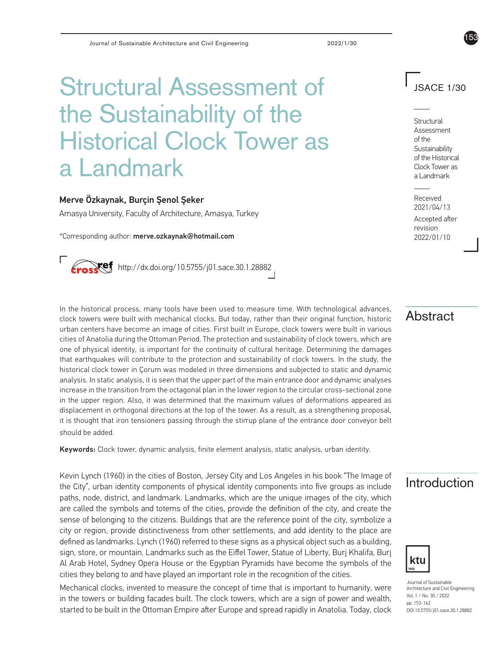# Structural Assessment of the Sustainability of the Historical Clock Tower as a Landmark

#### Merve Özkaynak, Burçin Şenol Şeker

Amasya University, Faculty of Architecture, Amasya, Turkey

\*Corresponding author: merve.ozkaynak@hotmail.com



## JSACE 1/30

153

Structural Assessment of the **Sustainability** of the Historical Clock Tower as a Landmark

Received 2021/04/13 Accepted after

revision 2022/01/10

In the historical process, many tools have been used to measure time. With technological advances,  $\overline{\phantom{A}}\overline{\phantom{A}}\overline{\phantom{A}}$ urban centers have become an image of cities. First built in Europe, clock towers were built in various cities of Anatolia during the Ottoman Period. The protection and sustainability of clock towers, which are one of physical identity, is important for the continuity of cultural heritage. Determining the damages that earthquakes will contribute to the protection and sustainability of clock towers. In the study, the historical clock tower in Çorum was modeled in three dimensions and subjected to static and dynamic analysis. In static analysis, it is seen that the upper part of the main entrance door and dynamic analyses increase in the transition from the octagonal plan in the lower region to the circular cross-sectional zone in the upper region. Also, it was determined that the maximum values of deformations appeared as displacement in orthogonal directions at the top of the tower. As a result, as a strengthening proposal, it is thought that iron tensioners passing through the stirrup plane of the entrance door conveyor belt should be added.

Keywords: Clock tower, dynamic analysis, finite element analysis, static analysis, urban identity.

Kevin Lynch (1960) in the cities of Boston, Jersey City and Los Angeles in his book "The Image of **Introduction**<br>the City", urban identity components of physical identity components into five groups as include **Introductio** paths, node, district, and landmark. Landmarks, which are the unique images of the city, which are called the symbols and totems of the cities, provide the definition of the city, and create the sense of belonging to the citizens. Buildings that are the reference point of the city, symbolize a city or region, provide distinctiveness from other settlements, and add identity to the place are defined as landmarks. Lynch (1960) referred to these signs as a physical object such as a building, sign, store, or mountain. Landmarks such as the Eiffel Tower, Statue of Liberty, Burj Khalifa, Burj Al Arab Hotel, Sydney Opera House or the Egyptian Pyramids have become the symbols of the cities they belong to and have played an important role in the recognition of the cities.

Mechanical clocks, invented to measure the concept of time that is important to humanity, were in the towers or building facades built. The clock towers, which are a sign of power and wealth, started to be built in the Ottoman Empire after Europe and spread rapidly in Anatolia. Today, clock





Journal of Sustainable Architecture and Civil Engineering Vol. 1 / No. 30 / 2022 pp. 153-162 DOI 10.5755/j01.sace.30.1.28882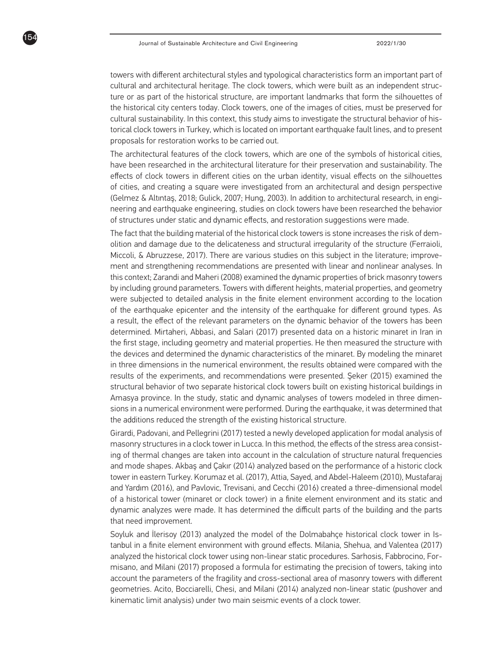154

towers with different architectural styles and typological characteristics form an important part of cultural and architectural heritage. The clock towers, which were built as an independent structure or as part of the historical structure, are important landmarks that form the silhouettes of the historical city centers today. Clock towers, one of the images of cities, must be preserved for cultural sustainability. In this context, this study aims to investigate the structural behavior of historical clock towers in Turkey, which is located on important earthquake fault lines, and to present proposals for restoration works to be carried out.

The architectural features of the clock towers, which are one of the symbols of historical cities, have been researched in the architectural literature for their preservation and sustainability. The effects of clock towers in different cities on the urban identity, visual effects on the silhouettes of cities, and creating a square were investigated from an architectural and design perspective (Gelmez & Altıntaş, 2018; Gulick, 2007; Hung, 2003). In addition to architectural research, in engineering and earthquake engineering, studies on clock towers have been researched the behavior of structures under static and dynamic effects, and restoration suggestions were made.

The fact that the building material of the historical clock towers is stone increases the risk of demolition and damage due to the delicateness and structural irregularity of the structure (Ferraioli, Miccoli, & Abruzzese, 2017). There are various studies on this subject in the literature; improvement and strengthening recommendations are presented with linear and nonlinear analyses. In this context; Zarandi and Maheri (2008) examined the dynamic properties of brick masonry towers by including ground parameters. Towers with different heights, material properties, and geometry were subjected to detailed analysis in the finite element environment according to the location of the earthquake epicenter and the intensity of the earthquake for different ground types. As a result, the effect of the relevant parameters on the dynamic behavior of the towers has been determined. Mirtaheri, Abbasi, and Salari (2017) presented data on a historic minaret in Iran in the first stage, including geometry and material properties. He then measured the structure with the devices and determined the dynamic characteristics of the minaret. By modeling the minaret in three dimensions in the numerical environment, the results obtained were compared with the results of the experiments, and recommendations were presented. Şeker (2015) examined the structural behavior of two separate historical clock towers built on existing historical buildings in Amasya province. In the study, static and dynamic analyses of towers modeled in three dimensions in a numerical environment were performed. During the earthquake, it was determined that the additions reduced the strength of the existing historical structure.

Girardi, Padovani, and Pellegrini (2017) tested a newly developed application for modal analysis of masonry structures in a clock tower in Lucca. In this method, the effects of the stress area consisting of thermal changes are taken into account in the calculation of structure natural frequencies and mode shapes. Akbaş and Çakır (2014) analyzed based on the performance of a historic clock tower in eastern Turkey. Korumaz et al. (2017), Attia, Sayed, and Abdel-Haleem (2010), Mustafaraj and Yardım (2016), and Pavlovic, Trevisani, and Cecchi (2016) created a three-dimensional model of a historical tower (minaret or clock tower) in a finite element environment and its static and dynamic analyzes were made. It has determined the difficult parts of the building and the parts that need improvement.

Soyluk and İlerisoy (2013) analyzed the model of the Dolmabahçe historical clock tower in Istanbul in a finite element environment with ground effects. Milania, Shehua, and Valentea (2017) analyzed the historical clock tower using non-linear static procedures. Sarhosis, Fabbrocino, Formisano, and Milani (2017) proposed a formula for estimating the precision of towers, taking into account the parameters of the fragility and cross-sectional area of masonry towers with different geometries. Acito, Bocciarelli, Chesi, and Milani (2014) analyzed non-linear static (pushover and kinematic limit analysis) under two main seismic events of a clock tower.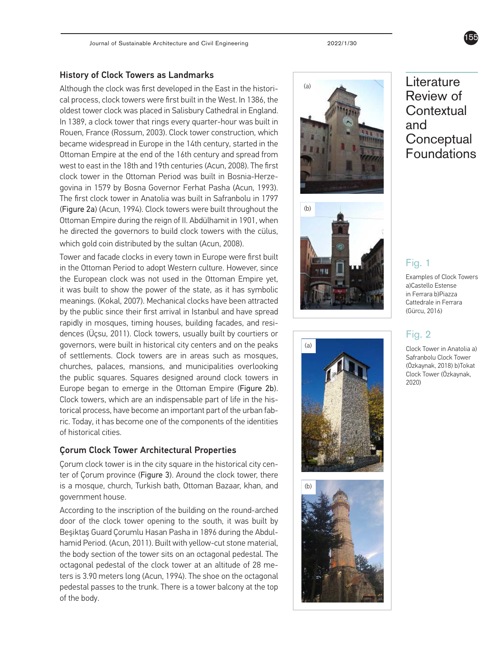#### History of Clock Towers as Landmarks

Although the clock was first developed in the East in the histori cal process, clock towers were first built in the West. In 1386, the oldest tower clock was placed in Salisbury Cathedral in England. In 1389, a clock tower that rings every quarter-hour was built in Rouen, France (Rossum, 2003). Clock tower construction, which became widespread in Europe in the 14th century, started in the Ottoman Empire at the end of the 16th century and spread from west to east in the 18th and 19th centuries (Acun, 2008). The first clock tower in the Ottoman Period was built in Bosnia-Herze govina in 1579 by Bosna Governor Ferhat Pasha (Acun, 1993). The first clock tower in Anatolia was built in Safranbolu in 1797 (Figure 2a) (Acun, 1994). Clock towers were built throughout the Ottoman Empire during the reign of II. Abdülhamit in 1901, when he directed the governors to build clock towers with the cülus, which gold coin distributed by the sultan (Acun, 2008).

Tower and facade clocks in every town in Europe were first built in the Ottoman Period to adopt Western culture. However, since the European clock was not used in the Ottoman Empire yet, it was built to show the power of the state, as it has symbolic meanings. (Kokal, 2007). Mechanical clocks have been attracted by the public since their first arrival in Istanbul and have spread rapidly in mosques, timing houses, building facades, and resi dences (Üçsu, 2011). Clock towers, usually built by courtiers or governors, were built in historical city centers and on the peaks of settlements. Clock towers are in areas such as mosques, churches, palaces, mansions, and municipalities overlooking the public squares. Squares designed around clock towers in Europe began to emerge in the Ottoman Empire (Figure 2b). Clock towers, which are an indispensable part of life in the his torical process, have become an important part of the urban fab ric. Today, it has become one of the components of the identities of historical cities.

#### Çorum Clock Tower Architectural Properties

Çorum clock tower is in the city square in the historical city cen ter of Çorum province (Figure 3). Around the clock tower, there is a mosque, church, Turkish bath, Ottoman Bazaar, khan, and government house.

According to the inscription of the building on the round-arched door of the clock tower opening to the south, it was built by Beşiktaş Guard Çorumlu Hasan Pasha in 1896 during the Abdul hamid Period. (Acun, 2011). Built with yellow-cut stone material, the body section of the tower sits on an octagonal pedestal. The octagonal pedestal of the clock tower at an altitude of 28 me ters is 3.90 meters long (Acun, 1994). The shoe on the octagonal pedestal passes to the trunk. There is a tower balcony at the top of the body.







## Literature Review of **Contextual** and **Conceptual** Foundations

### Fig. 1

Examples of Clock Towers a)Castello Estense in Ferrara b)Piazza Cattedrale in Ferrara (Gürcu, 2016)

### Fig. 2

Clock Tower in Anatolia a) Safranbolu Clock Tower (Özkaynak, 2018) b)Tokat Clock Tower (Özkaynak, 2020)

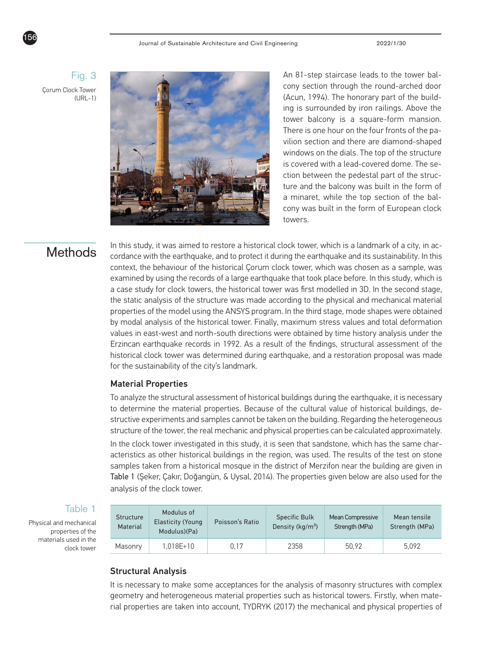### Fig. 3

Çorum Clock Tower (URL-1)



An 81-step staircase leads to the tower balcony section through the round-arched door (Acun, 1994). The honorary part of the building is surrounded by iron railings. Above the tower balcony is a square-form mansion. There is one hour on the four fronts of the pavilion section and there are diamond-shaped windows on the dials. The top of the structure is covered with a lead-covered dome. The section between the pedestal part of the structure and the balcony was built in the form of a minaret, while the top section of the balcony was built in the form of European clock towers.

In this study, it was aimed to restore a historical clock tower, which is a landmark of a city, in ac-<br>Methods cordance with the earthquake, and to protect it during the earthquake and its sustainability. In this context, the behaviour of the historical Çorum clock tower, which was chosen as a sample, was examined by using the records of a large earthquake that took place before. In this study, which is a case study for clock towers, the historical tower was first modelled in 3D. In the second stage, the static analysis of the structure was made according to the physical and mechanical material properties of the model using the ANSYS program. In the third stage, mode shapes were obtained by modal analysis of the historical tower. Finally, maximum stress values and total deformation values in east-west and north-south directions were obtained by time history analysis under the Erzincan earthquake records in 1992. As a result of the findings, structural assessment of the historical clock tower was determined during earthquake, and a restoration proposal was made for the sustainability of the city's landmark.

#### Material Properties

To analyze the structural assessment of historical buildings during the earthquake, it is necessary to determine the material properties. Because of the cultural value of historical buildings, destructive experiments and samples cannot be taken on the building. Regarding the heterogeneous structure of the tower, the real mechanic and physical properties can be calculated approximately.

In the clock tower investigated in this study, it is seen that sandstone, which has the same characteristics as other historical buildings in the region, was used. The results of the test on stone samples taken from a historical mosque in the district of Merzifon near the building are given in Table 1 (Şeker, Çakır, Doğangün, & Uysal, 2014). The properties given below are also used for the analysis of the clock tower.

#### Table 1

Physical and mechanical properties of the materials used in the clock tower

| Structure<br>Material | Modulus of<br><b>Elasticity (Young</b><br>Modulus)(Pa) | Poisson's Ratio | <b>Specific Bulk</b><br>Density (kg/m <sup>3</sup> ) | Mean Compressive<br>Strength (MPa) | Mean tensile<br>Strength (MPa) |
|-----------------------|--------------------------------------------------------|-----------------|------------------------------------------------------|------------------------------------|--------------------------------|
| Masonry               | 1.018E+10                                              | 0.17            | 2358                                                 | 50.92                              | 5.092                          |

#### Structural Analysis

It is necessary to make some acceptances for the analysis of masonry structures with complex geometry and heterogeneous material properties such as historical towers. Firstly, when material properties are taken into account, TYDRYK (2017) the mechanical and physical properties of

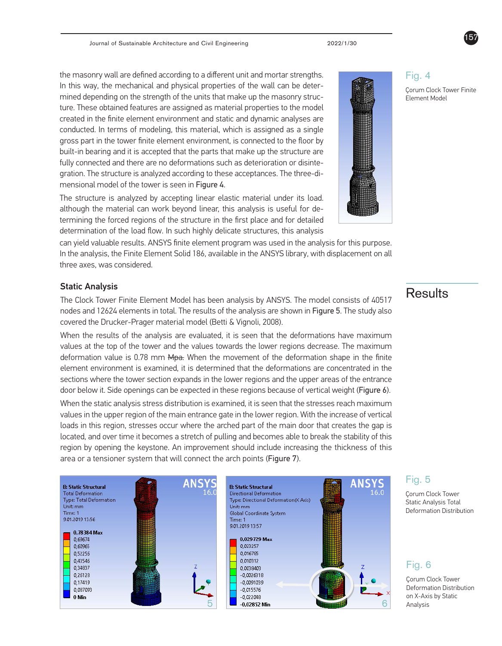the masonry wall are defined according to a different unit and mortar strengths. In this way, the mechanical and physical properties of the wall can be determined depending on the strength of the units that make up the masonry structure. These obtained features are assigned as material properties to the model created in the finite element environment and static and dynamic analyses are conducted. In terms of modeling, this material, which is assigned as a single gross part in the tower finite element environment, is connected to the floor by built-in bearing and it is accepted that the parts that make up the structure are fully connected and there are no deformations such as deterioration or disintegration. The structure is analyzed according to these acceptances. The three-dimensional model of the tower is seen in Figure 4.

The structure is analyzed by accepting linear elastic material under its load. although the material can work beyond linear, this analysis is useful for determining the forced regions of the structure in the first place and for detailed determination of the load flow. In such highly delicate structures, this analysis

can yield valuable results. ANSYS finite element program was used in the analysis for this purpose. In the analysis, the Finite Element Solid 186, available in the ANSYS library, with displacement on all three axes, was considered.

#### Static Analysis

The Clock Tower Finite Element Model has been analysis by ANSYS. The model consists of 40517 nodes and 12624 elements in total. The results of the analysis are shown in Figure 5. The study also covered the Drucker-Prager material model (Betti & Vignoli, 2008).

When the results of the analysis are evaluated, it is seen that the deformations have maximum values at the top of the tower and the values towards the lower regions decrease. The maximum deformation value is 0.78 mm Mpa. When the movement of the deformation shape in the finite element environment is examined, it is determined that the deformations are concentrated in the sections where the tower section expands in the lower regions and the upper areas of the entrance door below it. Side openings can be expected in these regions because of vertical weight (Figure 6).

When the static analysis stress distribution is examined, it is seen that the stresses reach maximum values in the upper region of the main entrance gate in the lower region. With the increase of vertical loads in this region, stresses occur where the arched part of the main door that creates the gap is located, and over time it becomes a stretch of pulling and becomes able to break the stability of this region by opening the keystone. An improvement should include increasing the thickness of this area or a tensioner system that will connect the arch points (Figure 7).

#### **B: Static Structural** Directional Deformation Type: Directional Deformation(X Axis) Unit: mm Deformation Distribution Global Coordinate System Time: 1 9.01.2019 13:57 0.029729 Max 0.023257 0,016785 0.010312 0.0038403  $-0.0026318$  $-0.0091039$  $-0,015576$

Çorum Clock Tower Finite Element Model

## **Results**

Fig. 5 Çorum Clock Tower Static Analysis Total

### Fig. 6

Çorum Clock Tower Deformation Distribution on X-Axis by Static



### 157





Fig. 4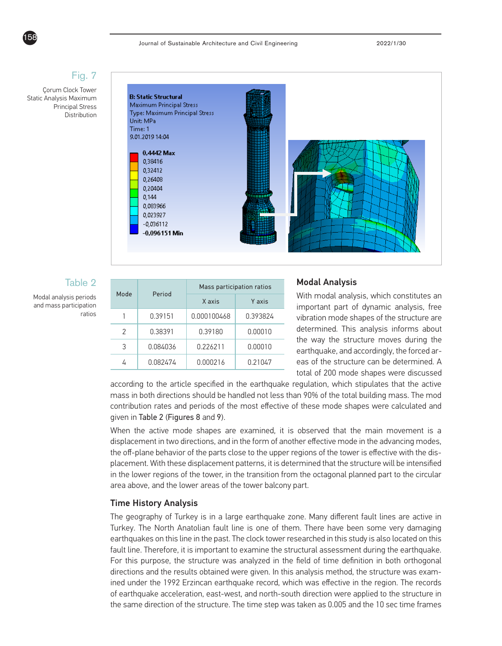

#### Journal of Sustainable Architecture and Civil Engineering 2022/1/30

### Fig. 7

Çorum Clock Tower Static Analysis Maximum Principal Stress **Distribution** 



#### Table 2

Modal analysis periods and mass participation ratios

| Mode | Period   | Mass participation ratios |          |  |
|------|----------|---------------------------|----------|--|
|      |          | X axis                    | Y axis   |  |
|      | 0.39151  | 0.000100468               | 0.393824 |  |
| 2    | 0.38391  | 0.39180                   | 0.00010  |  |
| 3    | 0.084036 | 0.226211                  | 0.00010  |  |
|      | 0.082474 | 0.000216                  | 0.21047  |  |

#### Modal Analysis

With modal analysis, which constitutes an important part of dynamic analysis, free vibration mode shapes of the structure are determined. This analysis informs about the way the structure moves during the earthquake, and accordingly, the forced areas of the structure can be determined. A total of 200 mode shapes were discussed

according to the article specified in the earthquake regulation, which stipulates that the active mass in both directions should be handled not less than 90% of the total building mass. The mod contribution rates and periods of the most effective of these mode shapes were calculated and given in Table 2 (Figures 8 and 9).

When the active mode shapes are examined, it is observed that the main movement is a displacement in two directions, and in the form of another effective mode in the advancing modes, the off-plane behavior of the parts close to the upper regions of the tower is effective with the displacement. With these displacement patterns, it is determined that the structure will be intensified in the lower regions of the tower, in the transition from the octagonal planned part to the circular area above, and the lower areas of the tower balcony part.

#### Time History Analysis

The geography of Turkey is in a large earthquake zone. Many different fault lines are active in Turkey. The North Anatolian fault line is one of them. There have been some very damaging earthquakes on this line in the past. The clock tower researched in this study is also located on this fault line. Therefore, it is important to examine the structural assessment during the earthquake. For this purpose, the structure was analyzed in the field of time definition in both orthogonal directions and the results obtained were given. In this analysis method, the structure was examined under the 1992 Erzincan earthquake record, which was effective in the region. The records of earthquake acceleration, east-west, and north-south direction were applied to the structure in the same direction of the structure. The time step was taken as 0.005 and the 10 sec time frames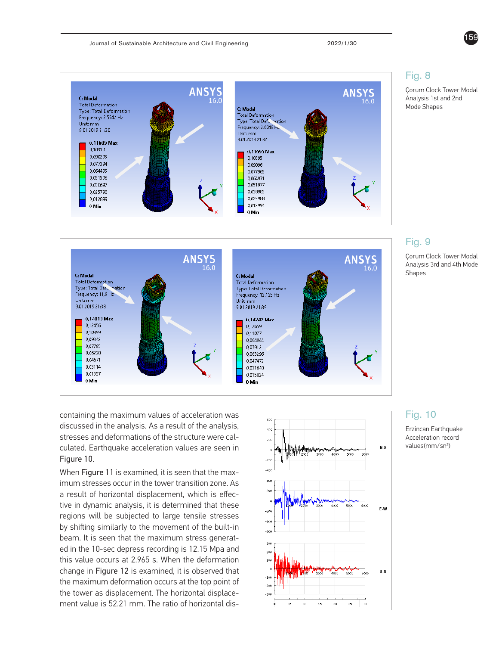



containing the maximum values of acceleration was discussed in the analysis. As a result of the analysis, stresses and deformations of the structure were calculated. Earthquake acceleration values are seen in Figure 10.

When Figure 11 is examined, it is seen that the maximum stresses occur in the tower transition zone. As a result of horizontal displacement, which is effective in dynamic analysis, it is determined that these regions will be subjected to large tensile stresses by shifting similarly to the movement of the built-in beam. It is seen that the maximum stress generated in the 10-sec depress recording is 12.15 Mpa and this value occurs at 2.965 s. When the deformation change in Figure 12 is examined, it is observed that the maximum deformation occurs at the top point of the tower as displacement. The horizontal displacement value is 52.21 mm. The ratio of horizontal dis-



#### Fig. 10

Erzincan Earthquake Acceleration record values(mm/sn2)



Çorum Clock Tower Modal Analysis 1st and 2nd Mode Shapes



### Fig. 9

Çorum Clock Tower Modal Analysis 3rd and 4th Mode Shapes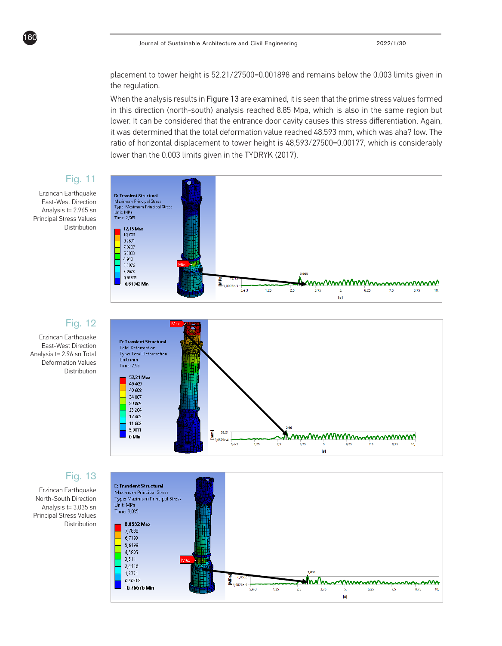placement to tower height is 52.21/27500=0.001898 and remains below the 0.003 limits given in the regulation.

When the analysis results in Figure 13 are examined, it is seen that the prime stress values formed in this direction (north-south) analysis reached 8.85 Mpa, which is also in the same region but lower. It can be considered that the entrance door cavity causes this stress differentiation. Again, it was determined that the total deformation value reached 48.593 mm, which was aha? low. The ratio of horizontal displacement to tower height is 48,593/27500=0.00177, which is considerably lower than the 0.003 limits given in the TYDRYK (2017).

### Fig. 11



160



#### Fig. 12

Erzincan Earthquake East-West Direction Analysis t= 2.96 sn Total Deformation Values Distribution



### Fig. 13

Erzincan Earthquake North-South Direction Analysis t= 3.035 sn Principal Stress Values Distribution

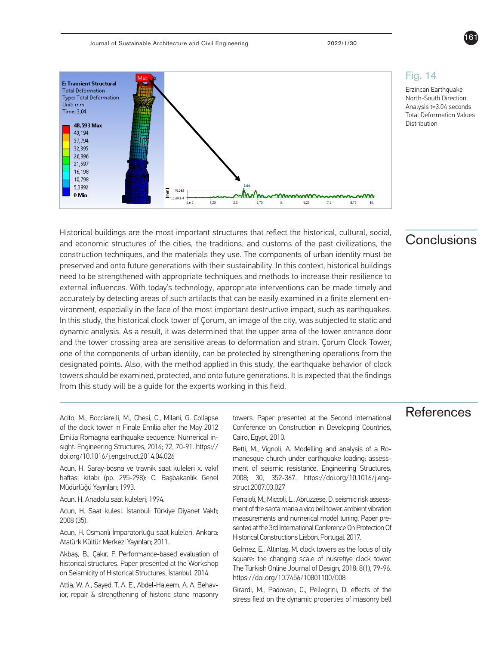

#### Fig. 14

Erzincan Earthquake North-South Direction Analysis t=3.04 seconds Total Deformation Values Distribution

161

### Conclusions

Historical buildings are the most important structures that reflect the historical, cultural, social, and economic structures of the cities, the traditions, and customs of the past civilizations, the construction techniques, and the materials they use. The components of urban identity must be preserved and onto future generations with their sustainability. In this context, historical buildings need to be strengthened with appropriate techniques and methods to increase their resilience to external influences. With today's technology, appropriate interventions can be made timely and accurately by detecting areas of such artifacts that can be easily examined in a finite element environment, especially in the face of the most important destructive impact, such as earthquakes. In this study, the historical clock tower of Çorum, an image of the city, was subjected to static and dynamic analysis. As a result, it was determined that the upper area of the tower entrance door and the tower crossing area are sensitive areas to deformation and strain. Çorum Clock Tower, one of the components of urban identity, can be protected by strengthening operations from the designated points. Also, with the method applied in this study, the earthquake behavior of clock towers should be examined, protected, and onto future generations. It is expected that the findings from this study will be a guide for the experts working in this field.

of the clock tower in Finale Emilia after the May 2012 Emilia Romagna earthquake sequence: Numerical insight. Engineering Structures, 2014; 72, 70-91. https:// doi.org/10.1016/j.engstruct.2014.04.026

Acun, H. Saray-bosna ve travnik saat kuleleri x. vakıf haftası kitabı (pp. 295-298): C. Başbakanlık Genel Müdürlüğü Yayınları; 1993.

Acun, H. Anadolu saat kuleleri; 1994.

Acun, H. Saat kulesi. İstanbul: Türkiye Diyanet Vakfı; 2008 (35).

Acun, H. Osmanlı İmparatorluğu saat kuleleri. Ankara: Atatürk Kültür Merkezi Yayınları; 2011.

Akbaş, B., Çakır, F. Performance-based evaluation of historical structures. Paper presented at the Workshop on Seismicity of Historical Structures, İstanbul. 2014.

Attia, W. A., Sayed, T. A. E., Abdel-Haleem, A. A. Behavior, repair & strengthening of historic stone masonry

Acito, M., Bocciarelli, M., Chesi, C., Milani, G. Collapse towers. Paper presented at the Second International References towers. Paper presented at the Second International Conference on Construction in Developing Countries, Cairo, Egypt, 2010.

> Betti, M., Vignoli, A. Modelling and analysis of a Romanesque church under earthquake loading: assessment of seismic resistance. Engineering Structures, 2008; 30, 352-367. https://doi.org/10.1016/j.engstruct.2007.03.027

> Ferraioli, M., Miccoli, L., Abruzzese, D. seismic risk assessment of the santa maria a vico bell tower. ambient vibration measurements and numerical model tuning. Paper presented at the 3rd International Conference On Protection Of Historical Constructions Lisbon, Portugal. 2017.

> Gelmez, E., Altıntaş, M. clock towers as the focus of city square: the changing scale of nusretiye clock tower. The Turkish Online Journal of Design, 2018; 8(1), 79-96. https://doi.org/10.7456/10801100/008

> Girardi, M., Padovani, C., Pellegrini, D. effects of the stress field on the dynamic properties of masonry bell